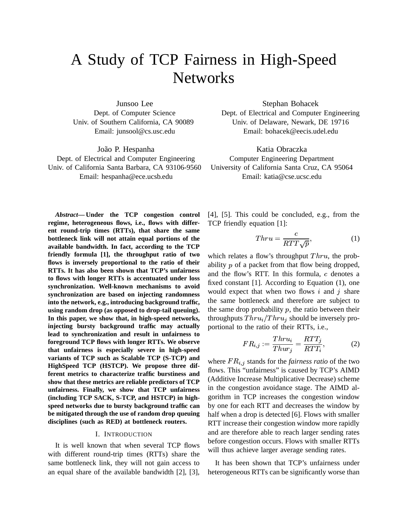# A Study of TCP Fairness in High-Speed **Networks**

Junsoo Lee Dept. of Computer Science Univ. of Southern California, CA 90089 Email: junsool@cs.usc.edu

João P. Hespanha

Dept. of Electrical and Computer Engineering Univ. of California Santa Barbara, CA 93106-9560 Email: hespanha@ece.ucsb.edu

*Abstract***— Under the TCP congestion control regime, heterogeneous flows, i.e., flows with different round-trip times (RTTs), that share the same bottleneck link will not attain equal portions of the available bandwidth. In fact, according to the TCP friendly formula [1], the throughput ratio of two flows is inversely proportional to the ratio of their RTTs. It has also been shown that TCP's unfairness to flows with longer RTTs is accentuated under loss synchronization. Well-known mechanisms to avoid synchronization are based on injecting randomness into the network, e.g., introducing background traffic, using random drop (as opposed to drop-tail queuing). In this paper, we show that, in high-speed networks, injecting bursty background traffic may actually lead to synchronization and result in unfairness to foreground TCP flows with longer RTTs. We observe that unfairness is especially severe in high-speed variants of TCP such as Scalable TCP (S-TCP) and HighSpeed TCP (HSTCP). We propose three different metrics to characterize traffic burstiness and show that these metrics are reliable predictors of TCP unfairness. Finally, we show that TCP unfairness (including TCP SACK, S-TCP, and HSTCP) in highspeed networks due to bursty background traffic can be mitigated through the use of random drop queuing disciplines (such as RED) at bottleneck routers.**

#### I. INTRODUCTION

It is well known that when several TCP flows with different round-trip times (RTTs) share the same bottleneck link, they will not gain access to an equal share of the available bandwidth [2], [3], Stephan Bohacek

Dept. of Electrical and Computer Engineering Univ. of Delaware, Newark, DE 19716 Email: bohacek@eecis.udel.edu

Katia Obraczka Computer Engineering Department University of California Santa Cruz, CA 95064 Email: katia@cse.ucsc.edu

[4], [5]. This could be concluded, e.g., from the TCP friendly equation [1]:

$$
Thru = \frac{c}{RTT\sqrt{p}},\tag{1}
$$

which relates a flow's throughput  $Thru$ , the probability  $p$  of a packet from that flow being dropped, and the flow's RTT. In this formula,  $c$  denotes a fixed constant [1]. According to Equation (1), one would expect that when two flows  $i$  and  $j$  share the same bottleneck and therefore are subject to the same drop probability  $p$ , the ratio between their throughputs  $Thru_i/Thru_j$  should be inversely proportional to the ratio of their RTTs, i.e.,

$$
FR_{i,j} := \frac{Thru_i}{Thur_i} = \frac{RTT_j}{RTT_i},\tag{2}
$$

where  $FR_{i,j}$  stands for the *fairness ratio* of the two flows. This "unfairness" is caused by TCP's AIMD (Additive Increase Multiplicative Decrease) scheme in the congestion avoidance stage. The AIMD algorithm in TCP increases the congestion window by one for each RTT and decreases the window by half when a drop is detected [6]. Flows with smaller RTT increase their congestion window more rapidly and are therefore able to reach larger sending rates before congestion occurs. Flows with smaller RTTs will thus achieve larger average sending rates.

It has been shown that TCP's unfairness under heterogeneous RTTs can be significantly worse than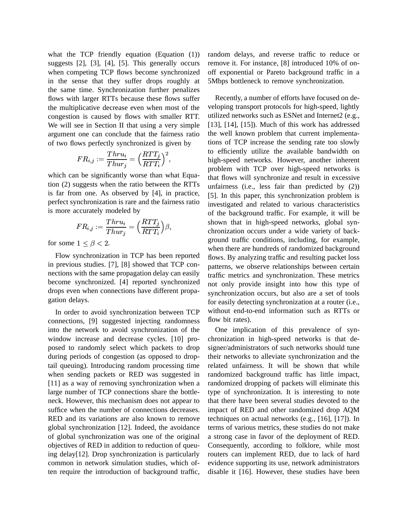what the TCP friendly equation (Equation (1)) suggests [2], [3], [4], [5]. This generally occurs when competing TCP flows become synchronized in the sense that they suffer drops roughly at the same time. Synchronization further penalizes flows with larger RTTs because these flows suffer the multiplicative decrease even when most of the congestion is caused by flows with smaller RTT. We will see in Section II that using a very simple argument one can conclude that the fairness ratio of two flows perfectly synchronized is given by

$$
FR_{i,j}:=\frac{Thru_i}{Thur_j}=\Big(\frac{RTT_j}{RTT_i}\Big)^2,
$$

which can be significantly worse than what Equation (2) suggests when the ratio between the RTTs is far from one. As observed by [4], in practice, perfect synchronization is rare and the fairness ratio is more accurately modeled by

$$
FR_{i,j}:=\frac{Thru_i}{Thur_j}=\Big(\frac{RTT_j}{RTT_i}\Big)\beta,
$$

for some  $1 \leq \beta < 2$ .

Flow synchronization in TCP has been reported in previous studies. [7], [8] showed that TCP connections with the same propagation delay can easily become synchronized. [4] reported synchronized drops even when connections have different propagation delays.

In order to avoid synchronization between TCP connections, [9] suggested injecting randomness into the network to avoid synchronization of the window increase and decrease cycles. [10] proposed to randomly select which packets to drop during periods of congestion (as opposed to droptail queuing). Introducing random processing time when sending packets or RED was suggested in [11] as a way of removing synchronization when a large number of TCP connections share the bottleneck. However, this mechanism does not appear to suffice when the number of connections decreases. RED and its variations are also known to remove global synchronization [12]. Indeed, the avoidance of global synchronization was one of the original objectives of RED in addition to reduction of queuing delay[12]. Drop synchronization is particularly common in network simulation studies, which often require the introduction of background traffic, random delays, and reverse traffic to reduce or remove it. For instance, [8] introduced 10% of onoff exponential or Pareto background traffic in a 5Mbps bottleneck to remove synchronization.

Recently, a number of efforts have focused on developing transport protocols for high-speed, lightly utilized networks such as ESNet and Internet2 (e.g., [13], [14], [15]). Much of this work has addressed the well known problem that current implementations of TCP increase the sending rate too slowly to efficiently utilize the available bandwidth on high-speed networks. However, another inherent problem with TCP over high-speed networks is that flows will synchronize and result in excessive unfairness (i.e., less fair than predicted by (2)) [5]. In this paper, this synchronization problem is investigated and related to various characteristics of the background traffic. For example, it will be shown that in high-speed networks, global synchronization occurs under a wide variety of background traffic conditions, including, for example, when there are hundreds of randomized background flows. By analyzing traffic and resulting packet loss patterns, we observe relationships between certain traffic metrics and synchronization. These metrics not only provide insight into how this type of synchronization occurs, but also are a set of tools for easily detecting synchronization at a router (i.e., without end-to-end information such as RTTs or flow bit rates).

One implication of this prevalence of synchronization in high-speed networks is that designer/administrators of such networks should tune their networks to alleviate synchronization and the related unfairness. It will be shown that while randomized background traffic has little impact, randomized dropping of packets will eliminate this type of synchronization. It is interesting to note that there have been several studies devoted to the impact of RED and other randomized drop AQM techniques on actual networks (e.g., [16], [17]). In terms of various metrics, these studies do not make a strong case in favor of the deployment of RED. Consequently, according to folklore, while most routers can implement RED, due to lack of hard evidence supporting its use, network administrators disable it [16]. However, these studies have been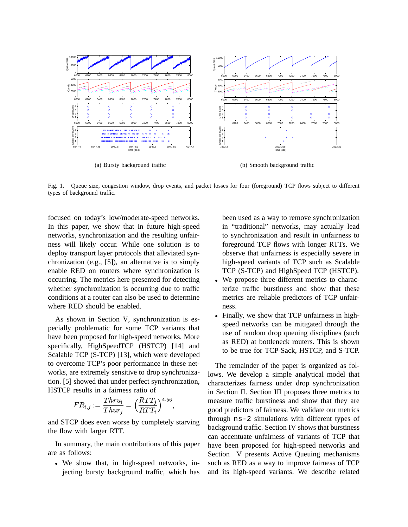

Fig. 1. Queue size, congestion window, drop events, and packet losses for four (foreground) TCP flows subject to different types of background traffic.

focused on today's low/moderate-speed networks. In this paper, we show that in future high-speed networks, synchronization and the resulting unfairness will likely occur. While one solution is to deploy transport layer protocols that alleviated synchronization (e.g., [5]), an alternative is to simply enable RED on routers where synchronization is occurring. The metrics here presented for detecting whether synchronization is occurring due to traffic conditions at a router can also be used to determine where RED should be enabled.

As shown in Section V, synchronization is especially problematic for some TCP variants that have been proposed for high-speed networks. More specifically, HighSpeedTCP (HSTCP) [14] and Scalable TCP (S-TCP) [13], which were developed to overcome TCP's poor performance in these networks, are extremely sensitive to drop synchronization. [5] showed that under perfect synchronization, HSTCP results in a fairness ratio of

$$
FR_{i,j}:=\frac{Thru_i}{Thur_j}=\Big(\frac{RTT_j}{RTT_i}\Big)^{4.56},
$$

and STCP does even worse by completely starving the flow with larger RTT.

In summary, the main contributions of this paper are as follows:

 We show that, in high-speed networks, injecting bursty background traffic, which has

been used as a way to remove synchronization in "traditional" networks, may actually lead to synchronization and result in unfairness to foreground TCP flows with longer RTTs. We observe that unfairness is especially severe in high-speed variants of TCP such as Scalable TCP (S-TCP) and HighSpeed TCP (HSTCP).

- We propose three different metrics to characterize traffic burstiness and show that these metrics are reliable predictors of TCP unfairness.
- Finally, we show that TCP unfairness in highspeed networks can be mitigated through the use of random drop queuing disciplines (such as RED) at bottleneck routers. This is shown to be true for TCP-Sack, HSTCP, and S-TCP.

The remainder of the paper is organized as follows. We develop a simple analytical model that characterizes fairness under drop synchronization in Section II. Section III proposes three metrics to measure traffic burstiness and show that they are good predictors of fairness. We validate our metrics through ns-2 simulations with different types of background traffic. Section IV shows that burstiness can accentuate unfairness of variants of TCP that have been proposed for high-speed networks and Section V presents Active Queuing mechanisms such as RED as a way to improve fairness of TCP and its high-speed variants. We describe related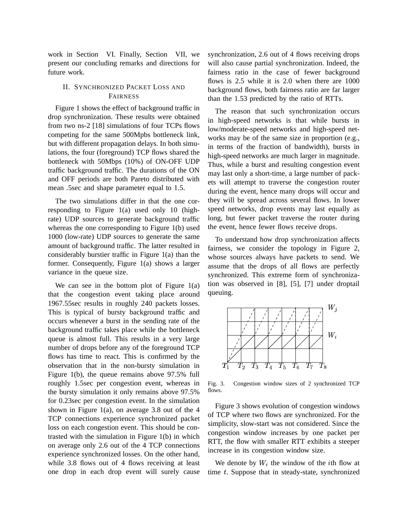work in Section VI. Finally, Section VII, we present our concluding remarks and directions for future work.

# II. SYNCHRONIZED PACKET LOSS AND FAIRNESS

Figure 1 shows the effect of background traffic in drop synchronization. These results were obtained from two ns-2 [18] simulations of four TCPs flows competing for the same 500Mpbs bottleneck link, but with different propagation delays. In both simulations, the four (foreground) TCP flows shared the bottleneck with 50Mbps (10%) of ON-OFF UDP traffic background traffic. The durations of the ON and OFF periods are both Pareto distributed with mean .5sec and shape parameter equal to 1.5.

The two simulations differ in that the one corresponding to Figure 1(a) used only 10 (highrate) UDP sources to generate background traffic whereas the one corresponding to Figure 1(b) used 1000 (low-rate) UDP sources to generate the same amount of background traffic. The latter resulted in former. Consequently, Figure 1(a) shows a larger variance in the queue size.

We can see in the bottom plot of Figure  $1(a)$ that the congestion event taking place around 1967.55sec results in roughly 240 packets losses. This is typical of bursty background traffic and occurs whenever a burst in the sending rate of the background traffic takes place while the bottleneck queue is almost full. This results in a very large number of drops before any of the foreground TCP flows has time to react. This is confirmed by the observation that in the non-bursty simulation in Figure 1(b), the queue remains above 97.5% full roughly 1.5sec per congestion event, whereas in the bursty simulation it only remains above 97.5% for 0.23sec per congestion event. In the simulation shown in Figure 1(a), on average 3.8 out of the 4 TCP connections experience synchronized packet loss on each congestion event. This should be contrasted with the simulation in Figure 1(b) in which on average only 2.6 out of the 4 TCP connections experience synchronized losses. On the other hand, while 3.8 flows out of 4 flows receiving at least one drop in each drop event will surely cause synchronization, 2.6 out of 4 flows receiving drops will also cause partial synchronization. Indeed, the fairness ratio in the case of fewer background flows is 2.5 while it is 2.0 when there are 1000 background flows, both fairness ratio are far larger than the 1.53 predicted by the ratio of RTTs.

The reason that such synchronization occurs in high-speed networks is that while bursts in low/moderate-speed networks and high-speed networks may be of the same size in proportion (e.g., in terms of the fraction of bandwidth), bursts in high-speed networks are much larger in magnitude. Thus, while a burst and resulting congestion event may last only a short-time, a large number of packets will attempt to traverse the congestion router during the event, hence many drops will occur and they will be spread across several flows. In lower speed networks, drop events may last equally as long, but fewer packet traverse the router during the event, hence fewer flows receive drops.

considerably burstier traffic in Figure **RSfrtganethacements**e sources always have packets to send. We To understand how drop synchronization affects fairness, we consider the topology in Figure 2, assume that the drops of all flows are perfectly synchronized. This extreme form of synchronization was observed in [8], [5], [7] under droptail queuing.



Fig. 3. Congestion window sizes of 2 synchronized TCP flows.

Figure 3 shows evolution of congestion windows of TCP where two flows are synchronized. For the simplicity, slow-start was not considered. Since the congestion window increases by one packet per RTT, the flow with smaller RTT exhibits a steeper increase in its congestion window size.

We denote by  $W_i$  the window of the *i*th flow at time  $t$ . Suppose that in steady-state, synchronized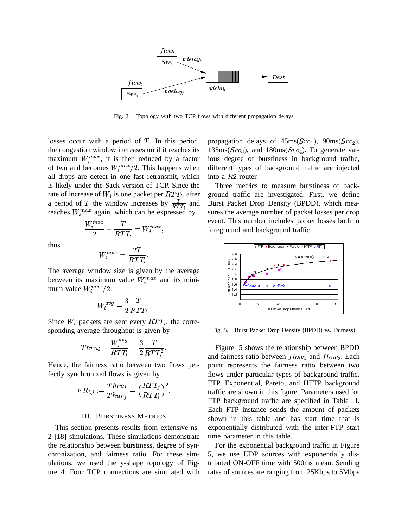

Fig. 2. Topology with two TCP flows with different propagation delays

losses occur with a period of  $T$ . In this period, the congestion window increases until it reaches its maximum  $W_i^{max}$ , it is then reduced by a factor of two and becomes  $W_i^{max}/2$ . This happens when all drops are detect in one fast retransmit, which is likely under the Sack version of TCP. Since the rate of increase of  $W_i$  is one packet per  $RTT_i$ , after a period of T the window increases by  $\frac{T}{RTT_i}$  and Bu reaches  $W_i^{max}$  again, which can be expressed by

$$
\frac{W_i^{max}}{2} + \frac{T}{RTT_i} = W_i^{max},
$$

thus

$$
W_i^{max}=\frac{2T}{RTT_i}.
$$

The average window size is given by the average between its maximum value  $W_i^{max}$  and its minimum value  $W_i^{max}/2$ :

$$
W_i^{avg} = \frac{3}{2} \frac{T}{RTT_i}.
$$

Since  $W_i$  packets are sent every  $RTT_i$ , the corresponding average throughput is given by

$$
Thru_i=\frac{W_i^{avg}}{RTT_i}=\frac{3}{2}\frac{T}{RTT_i^2}.
$$

Hence, the fairness ratio between two flows perfectly synchronized flows is given by

$$
FR_{i,j}:=\frac{Thru_i}{Thur_j}=\Big(\frac{RTT_j}{RTT_i}\Big)^2.
$$

# III. BURSTINESS METRICS

This section presents results from extensive ns-2 [18] simulations. These simulations demonstrate the relationship between burstiness, degree of synchronization, and fairness ratio. For these simulations, we used the y-shape topology of Figure 4. Four TCP connections are simulated with propagation delays of  $45ms(Src_1)$ ,  $90ms(Src_2)$ ,  $135 \text{ms}(Src<sub>3</sub>)$ , and  $180 \text{ms}(Src<sub>4</sub>)$ . To generate var ious degree of burstiness in background traffic, different types of background traffic are injected into a  $R2$  router.

Three metrics to measure burstiness of background traffic are investigated. First, we define Burst Packet Drop Density (BPDD), which measures the average number of packet losses per drop event. This number includes packet losses both in foreground and background traffic.



Fig. 5. Burst Packet Drop Density (BPDD) vs. Fairness)

Figure 5 shows the relationship between BPDD and fairness ratio between  $flow_1$  and  $flow_2$ . Each noint represents the fairness ratio between two point represents the fairness ratio between two flows under particular types of background traffic. FTP, Exponential, Pareto, and HTTP background traffic are shown in this figure. Parameters used for FTP background traffic are specified in Table I. Each FTP instance sends the amount of packets shown in this table and has start time that is exponentially distributed with the inter-FTP start time parameter in this table.

For the exponential background traffic in Figure 5, we use UDP sources with exponentially distributed ON-OFF time with 500ms mean. Sending rates of sources are ranging from 25Kbps to 5Mbps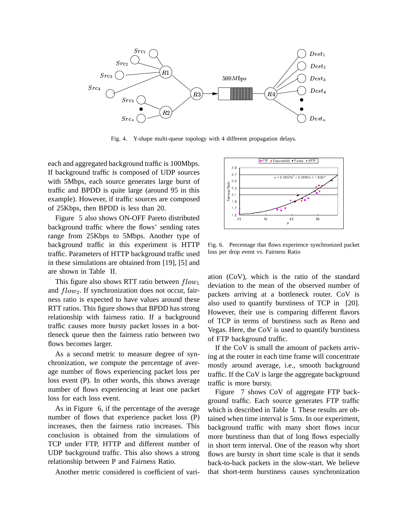

Fig. 4. Y-shape multi-queue topology with 4 different propagation delays.

each and aggregated background traffic is 100Mbps. If background traffic is composed of UDP sources with 5Mbps, each source generates large burst of traffic and BPDD is quite large (around 95 in this example). However, if traffic sources are composed of 25Kbps, then BPDD is less than 20.

Figure 5 also shows ON-OFF Pareto distributed background traffic where the flows' sending rates range from 25Kbps to 5Mbps. Another type of background traffic in this experiment is HTTP traffic. Parameters of HTTP background traffic used in these simulations are obtained from [19], [5] and are shown in Table II.

This figure also shows RTT ratio between  $flow_1$ and  $flow_2$ . If synchronization does not occur, fair-<br>ness ratio is expected to have values around these ness ratio is expected to have values around these RTT ratios. This figure shows that BPDD has strong relationship with fairness ratio. If a background traffic causes more bursty packet losses in a bottleneck queue then the fairness ratio between two flows becomes larger.

As a second metric to measure degree of synchronization, we compute the percentage of average number of flows experiencing packet loss per loss event (P). In other words, this shows average number of flows experiencing at least one packet loss for each loss event.

As in Figure 6, if the percentage of the average number of flows that experience packet loss (P) increases, then the fairness ratio increases. This conclusion is obtained from the simulations of TCP under FTP, HTTP and different number of UDP background traffic. This also shows a strong relationship between P and Fairness Ratio.

Another metric considered is coefficient of vari-



Fig. 6. Percentage that flows experience synchronized packet loss per drop event vs. Fairness Ratio

ation (CoV), which is the ratio of the standard deviation to the mean of the observed number of packets arriving at a bottleneck router. CoV is also used to quantify burstiness of TCP in [20]. However, their use is comparing different flavors of TCP in terms of burstiness such as Reno and Vegas. Here, the CoV is used to quantify burstiness of FTP background traffic.

If the CoV is small the amount of packets arriving at the router in each time frame will concentrate mostly around average, i.e., smooth background traffic. If the CoV is large the aggregate background traffic is more bursty.

Figure 7 shows CoV of aggregate FTP background traffic. Each source generates FTP traffic which is described in Table I. These results are obtained when time interval is 5ms. In our experiment, background traffic with many short flows incur more burstiness than that of long flows especially in short term interval. One of the reason why short flows are bursty in short time scale is that it sends back-to-back packets in the slow-start. We believe that short-term burstiness causes synchronization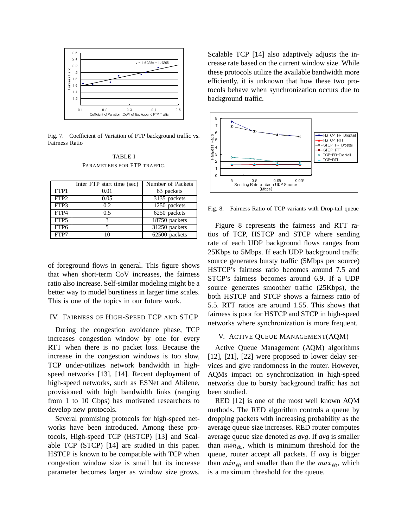

Fig. 7. Coefficient of Variation of FTP background traffic vs. Fairness Ratio

TABLE I PARAMETERS FOR FTP TRAFFIC.

|                  | Inter FTP start time (sec) | Number of Packets |
|------------------|----------------------------|-------------------|
| FTP1             | 0.01                       | 63 packets        |
| FTP <sub>2</sub> | 0.05                       | 3135 packets      |
| FTP3             | 0.2.                       | 1250 packets      |
| FTP4             | 0.5                        | 6250 packets      |
| FTP <sub>5</sub> | 2                          | 18750 packets     |
| FTP <sub>6</sub> |                            | 31250 packets     |
| FTP7             |                            | 62500 packets     |

of foreground flows in general. This figure shows that when short-term CoV increases, the fairness ratio also increase. Self-similar modeling might be a better way to model burstiness in larger time scales. This is one of the topics in our future work.

## IV. FAIRNESS OF HIGH-SPEED TCP AND STCP

During the congestion avoidance phase, TCP increases congestion window by one for every RTT when there is no packet loss. Because the increase in the congestion windows is too slow, TCP under-utilizes network bandwidth in highspeed networks [13], [14]. Recent deployment of high-speed networks, such as ESNet and Abilene, provisioned with high bandwidth links (ranging from 1 to 10 Gbps) has motivated researchers to develop new protocols.

Several promising protocols for high-speed networks have been introduced. Among these protocols, High-speed TCP (HSTCP) [13] and Scalable TCP (STCP) [14] are studied in this paper. HSTCP is known to be compatible with TCP when congestion window size is small but its increase parameter becomes larger as window size grows. Scalable TCP [14] also adaptively adjusts the increase rate based on the current window size. While these protocols utilize the available bandwidth more efficiently, it is unknown that how these two protocols behave when synchronization occurs due to background traffic.



Fig. 8. Fairness Ratio of TCP variants with Drop-tail queue

Figure 8 represents the fairness and RTT ratios of TCP, HSTCP and STCP where sending rate of each UDP background flows ranges from 25Kbps to 5Mbps. If each UDP background traffic source generates bursty traffic (5Mbps per source) HSTCP's fairness ratio becomes around 7.5 and STCP's fairness becomes around 6.9. If a UDP source generates smoother traffic (25Kbps), the both HSTCP and STCP shows a fairness ratio of 5.5. RTT ratios are around 1.55. This shows that fairness is poor for HSTCP and STCP in high-speed networks where synchronization is more frequent.

# V. ACTIVE QUEUE MANAGEMENT(AQM)

Active Queue Management (AQM) algorithms [12], [21], [22] were proposed to lower delay services and give randomness in the router. However, AQMs impact on synchronization in high-speed networks due to bursty background traffic has not been studied.

RED [12] is one of the most well known AQM methods. The RED algorithm controls a queue by dropping packets with increasing probability as the average queue size increases. RED router computes average queue size denoted as *avg*. If *avg* is smaller than  $min_{th}$ , which is minimum threshold for the queue, router accept all packets. If *avg* is bigger than  $min_{th}$  and smaller than the the  $max_{th}$ , which is a maximum threshold for the queue.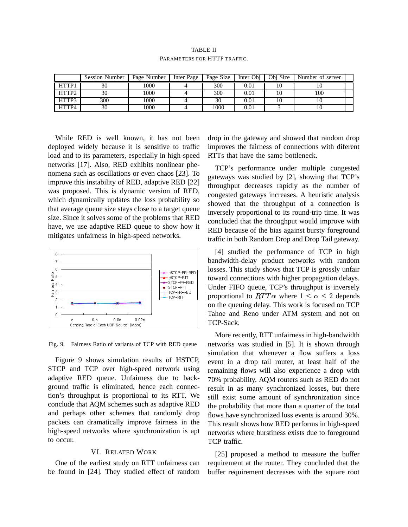TABLE II PARAMETERS FOR HTTP TRAFFIC.

|                   | <b>Session Number</b> | Page Number | Inter Page | Page Size | Inter Obj | Obj Size | Number of server |  |
|-------------------|-----------------------|-------------|------------|-----------|-----------|----------|------------------|--|
| HTTP1             | 30                    | 1000        |            | 300       | 0.01      |          |                  |  |
| HTTP <sub>2</sub> | 30                    | 1000        |            | 300       | 0.01      |          | 100              |  |
| HTTP3             | 300                   | 1000        |            | 30        | 0.01      |          | 10               |  |
| HTTP4             | 30                    | 1000        |            | 1000      | 0.01      |          | ΙU               |  |

While RED is well known, it has not been deployed widely because it is sensitive to traffic load and to its parameters, especially in high-speed networks [17]. Also, RED exhibits nonlinear phenomena such as oscillations or even chaos [23]. To improve this instability of RED, adaptive RED [22] was proposed. This is dynamic version of RED, which dynamically updates the loss probability so that average queue size stays close to a target queue size. Since it solves some of the problems that RED have, we use adaptive RED queue to show how it mitigates unfairness in high-speed networks.



Fig. 9. Fairness Ratio of variants of TCP with RED queue

Figure 9 shows simulation results of HSTCP, STCP and TCP over high-speed network using adaptive RED queue. Unfairness due to background traffic is eliminated, hence each connection's throughput is proportional to its RTT. We conclude that AQM schemes such as adaptive RED and perhaps other schemes that randomly drop packets can dramatically improve fairness in the high-speed networks where synchronization is apt to occur.

## VI. RELATED WORK

One of the earliest study on RTT unfairness can be found in [24]. They studied effect of random

drop in the gateway and showed that random drop improves the fairness of connections with diferent RTTs that have the same bottleneck.

TCP's performance under multiple congested gateways was studied by [2], showing that TCP's throughput decreases rapidly as the number of congested gateways increases. A heuristic analysis showed that the throughput of a connection is inversely proportional to its round-trip time. It was concluded that the throughput would improve with RED because of the bias against bursty foreground traffic in both Random Drop and Drop Tail gateway.

[4] studied the performance of TCP in high bandwidth-delay product networks with random losses. This study shows that TCP is grossly unfair toward connections with higher propagation delays. Under FIFO queue, TCP's throughput is inversely proportional to  $RTT\alpha$  where  $1 \leq \alpha \leq 2$  depends on the queuing delay. This work is focused on TCP Tahoe and Reno under ATM system and not on TCP-Sack.

More recently, RTT unfairness in high-bandwidth networks was studied in [5]. It is shown through simulation that whenever a flow suffers a loss event in a drop tail router, at least half of the remaining flows will also experience a drop with 70% probability. AQM routers such as RED do not result in as many synchronized losses, but there still exist some amount of synchronization since the probability that more than a quarter of the total flows have synchronized loss events is around 30%. This result shows how RED performs in high-speed networks where burstiness exists due to foreground TCP traffic.

[25] proposed a method to measure the buffer requirement at the router. They concluded that the buffer requirement decreases with the square root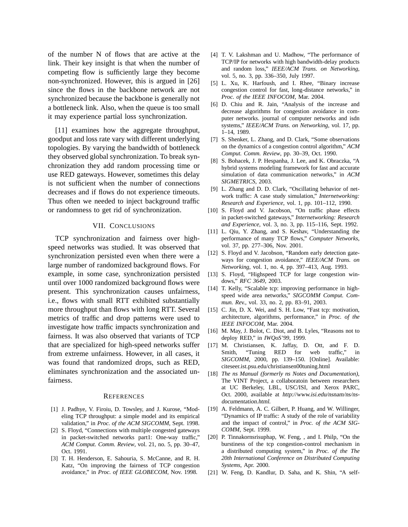of the number N of flows that are active at the link. Their key insight is that when the number of competing flow is sufficiently large they become non-synchronized. However, this is argued in [26] since the flows in the backbone network are not synchronized because the backbone is generally not a bottleneck link. Also, when the queue is too small it may experience partial loss synchronization.

[11] examines how the aggregate throughput, goodput and loss rate vary with different underlying topologies. By varying the bandwidth of bottleneck they observed global synchronization. To break synchronization they add random processing time or use RED gateways. However, sometimes this delay is not sufficient when the number of connections decreases and if flows do not experience timeouts. Thus often we needed to inject background traffic or randomness to get rid of synchronization.

### VII. CONCLUSIONS

TCP synchronization and fairness over highspeed networks was studied. It was observed that synchronization persisted even when there were a large number of randomized background flows. For example, in some case, synchronization persisted until over 1000 randomized background flows were present. This synchronization causes unfairness, i.e., flows with small RTT exhibited substantially more throughput than flows with long RTT. Several metrics of traffic and drop patterns were used to investigate how traffic impacts synchronization and fairness. It was also observed that variants of TCP that are specialized for high-speed networks suffer from extreme unfairness. However, in all cases, it was found that randomized drops, such as RED, eliminates synchronization and the associated unfairness.

#### **REFERENCES**

- [1] J. Padhye, V. Firoiu, D. Towsley, and J. Kurose, "Modeling TCP throughput: a simple model and its empirical validation," in *Proc. of the ACM SIGCOMM*, Sept. 1998.
- [2] S. Floyd, "Connections with multiple congested gateways in packet-switched networks part1: One-way traffic," *ACM Comput. Comm. Review*, vol. 21, no. 5, pp. 30–47, Oct. 1991.
- [3] T. H. Henderson, E. Sahouria, S. McCanne, and R. H. Katz, "On improving the fairness of TCP congestion avoidance," in *Proc. of IEEE GLOBECOM*, Nov. 1998.
- [4] T. V. Lakshman and U. Madhow, "The performance of TCP/IP for networks with high bandwidth-delay products and random loss," *IEEE/ACM Trans. on Networking*, vol. 5, no. 3, pp. 336–350, July 1997.
- [5] L. Xu, K. Harfoush, and I. Rhee, "Binary increase congestion control for fast, long-distance networks," in *Proc. of the IEEE INFOCOM*, Mar. 2004.
- [6] D. Chiu and R. Jain, "Analysis of the increase and decrease algorithms for congestion avoidance in computer networks. journal of computer networks and isdn systems," *IEEE/ACM Trans. on Networking*, vol. 17, pp. 1–14, 1989.
- [7] S. Shenker, L. Zhang, and D. Clark, "Some observations on the dynamics of a congestion control algorithm," *ACM Comput. Comm. Review*, pp. 30–39, Oct. 1990.
- [8] S. Bohacek, J. P. Hespanha, J. Lee, and K. Obraczka, "A hybrid systems modeling framework for fast and accurate simulation of data communication networks," in *ACM SIGMETRICS*, 2003.
- [9] L. Zhang and D. D. Clark, "Oscillating behavior of network traffic: A case study simulation," *Internetworking: Research and Experience*, vol. 1, pp. 101–112, 1990.
- [10] S. Floyd and V. Jacobson, "On traffic phase effects in packet-switched gateways," *Internetworking: Research and Experience*, vol. 3, no. 3, pp. 115–116, Sept. 1992.
- [11] L. Qiu, Y. Zhang, and S. Keshav, "Understanding the performance of many TCP flows," *Computer Networks*, vol. 37, pp. 277–306, Nov. 2001.
- [12] S. Floyd and V. Jacobson, "Random early detection gateways for congestion avoidance," *IEEE/ACM Trans. on Networking*, vol. 1, no. 4, pp. 397–413, Aug. 1993.
- [13] S. Floyd, "Highspeed TCP for large congestion windows," *RFC 3649*, 2003.
- [14] T. Kelly, "Scalable tcp: improving performance in highspeed wide area networks," *SIGCOMM Comput. Commun. Rev.*, vol. 33, no. 2, pp. 83–91, 2003.
- [15] C. Jin, D. X. Wei, and S. H. Low, "Fast tcp: motivation, architecture, algorithms, performance," in *Proc. of the IEEE INFOCOM*, Mar. 2004.
- [16] M. May, J. Bolot, C. Diot, and B. Lyles, "Reasons not to deploy RED," in *IWQoS'99*, 1999.
- [17] M. Christiansen, K. Jaffay, D. Ott, and F. D. Smith, "Tuning RED for web traffic," in *SIGCOMM*, 2000, pp. 139–150. [Online]. Available: citeseer.ist.psu.edu/christiansen00tuning.html
- [18] *The ns Manual (formerly ns Notes and Documentation)*, The VINT Project, a collaboratoin between researchers at UC Berkeley, LBL, USC/ISI, and Xerox PARC, Oct. 2000, available at http://www.isi.edu/nsnam/ns/nsdocumentation.html.
- [19] A. Feldmann, A. C. Gilbert, P. Huang, and W. Willinger, "Dynamics of IP traffic: A study of the role of variability and the impact of control," in *Proc. of the ACM SIG-COMM*, Sept. 1999.
- [20] P. Tinnakornsrisuphap, W. Feng, , and I. Philp, "On the burstiness of the tcp congestion-control mechanism in a distributed computing system," in *Proc. of the The 20th International Conference on Distributed Computing Systems*, Apr. 2000.
- [21] W. Feng, D. Kandlur, D. Saha, and K. Shin, "A self-